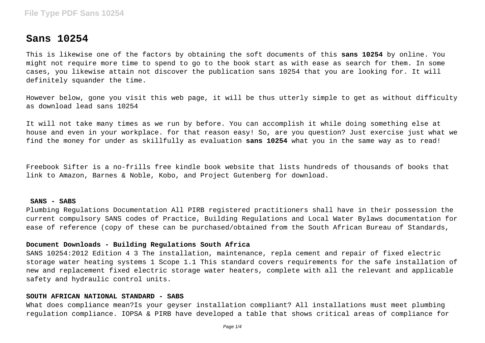# **Sans 10254**

This is likewise one of the factors by obtaining the soft documents of this **sans 10254** by online. You might not require more time to spend to go to the book start as with ease as search for them. In some cases, you likewise attain not discover the publication sans 10254 that you are looking for. It will definitely squander the time.

However below, gone you visit this web page, it will be thus utterly simple to get as without difficulty as download lead sans 10254

It will not take many times as we run by before. You can accomplish it while doing something else at house and even in your workplace. for that reason easy! So, are you question? Just exercise just what we find the money for under as skillfully as evaluation **sans 10254** what you in the same way as to read!

Freebook Sifter is a no-frills free kindle book website that lists hundreds of thousands of books that link to Amazon, Barnes & Noble, Kobo, and Project Gutenberg for download.

#### **SANS - SABS**

Plumbing Regulations Documentation All PIRB registered practitioners shall have in their possession the current compulsory SANS codes of Practice, Building Regulations and Local Water Bylaws documentation for ease of reference (copy of these can be purchased/obtained from the South African Bureau of Standards,

## **Document Downloads - Building Regulations South Africa**

SANS 10254:2012 Edition 4 3 The installation, maintenance, repla cement and repair of fixed electric storage water heating systems 1 Scope 1.1 This standard covers requirements for the safe installation of new and replacement fixed electric storage water heaters, complete with all the relevant and applicable safety and hydraulic control units.

#### **SOUTH AFRICAN NATIONAL STANDARD - SABS**

What does compliance mean?Is your geyser installation compliant? All installations must meet plumbing regulation compliance. IOPSA & PIRB have developed a table that shows critical areas of compliance for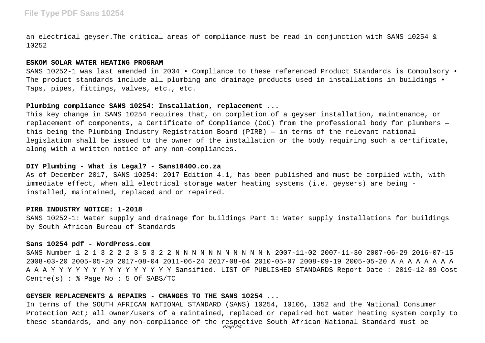# **File Type PDF Sans 10254**

an electrical geyser.The critical areas of compliance must be read in conjunction with SANS 10254 & 10252

### **ESKOM SOLAR WATER HEATING PROGRAM**

SANS 10252-1 was last amended in 2004 • Compliance to these referenced Product Standards is Compulsory • The product standards include all plumbing and drainage products used in installations in buildings  $\bullet$ Taps, pipes, fittings, valves, etc., etc.

# **Plumbing compliance SANS 10254: Installation, replacement ...**

This key change in SANS 10254 requires that, on completion of a geyser installation, maintenance, or replacement of components, a Certificate of Compliance (CoC) from the professional body for plumbers this being the Plumbing Industry Registration Board (PIRB) — in terms of the relevant national legislation shall be issued to the owner of the installation or the body requiring such a certificate, along with a written notice of any non-compliances.

## **DIY Plumbing - What is Legal? - Sans10400.co.za**

As of December 2017, SANS 10254: 2017 Edition 4.1, has been published and must be complied with, with immediate effect, when all electrical storage water heating systems (i.e. geysers) are being installed, maintained, replaced and or repaired.

### **PIRB INDUSTRY NOTICE: 1-2018**

SANS 10252-1: Water supply and drainage for buildings Part 1: Water supply installations for buildings by South African Bureau of Standards

#### **Sans 10254 pdf - WordPress.com**

SANS Number 1 2 1 3 2 2 2 3 5 3 2 2 N N N N N N N N N N N N 2007-11-02 2007-11-30 2007-06-29 2016-07-15 2008-03-20 2005-05-20 2017-08-04 2011-06-24 2017-08-04 2010-05-07 2008-09-19 2005-05-20 A A A A A A A A A A A Y Y Y Y Y Y Y Y Y Y Y Y Y Y Y Sansified. LIST OF PUBLISHED STANDARDS Report Date : 2019-12-09 Cost Centre(s) : % Page No : 5 Of SABS/TC

## **GEYSER REPLACEMENTS & REPAIRS - CHANGES TO THE SANS 10254 ...**

In terms of the SOUTH AFRICAN NATIONAL STANDARD (SANS) 10254, 10106, 1352 and the National Consumer Protection Act; all owner/users of a maintained, replaced or repaired hot water heating system comply to these standards, and any non-compliance of the respective South African National Standard must be  $P$ age $\overline{2}/4$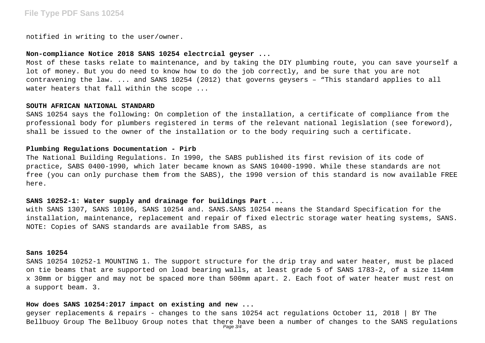# **File Type PDF Sans 10254**

notified in writing to the user/owner.

## **Non-compliance Notice 2018 SANS 10254 electrcial geyser ...**

Most of these tasks relate to maintenance, and by taking the DIY plumbing route, you can save yourself a lot of money. But you do need to know how to do the job correctly, and be sure that you are not contravening the law. ... and SANS 10254 (2012) that governs geysers – "This standard applies to all water heaters that fall within the scope ...

#### **SOUTH AFRICAN NATIONAL STANDARD**

SANS 10254 says the following: On completion of the installation, a certificate of compliance from the professional body for plumbers registered in terms of the relevant national legislation (see foreword), shall be issued to the owner of the installation or to the body requiring such a certificate.

# **Plumbing Regulations Documentation - Pirb**

The National Building Regulations. In 1990, the SABS published its first revision of its code of practice, SABS 0400-1990, which later became known as SANS 10400-1990. While these standards are not free (you can only purchase them from the SABS), the 1990 version of this standard is now available FREE here.

## **SANS 10252-1: Water supply and drainage for buildings Part ...**

with SANS 1307, SANS 10106, SANS 10254 and. SANS.SANS 10254 means the Standard Specification for the installation, maintenance, replacement and repair of fixed electric storage water heating systems, SANS. NOTE: Copies of SANS standards are available from SABS, as

### **Sans 10254**

SANS 10254 10252-1 MOUNTING 1. The support structure for the drip tray and water heater, must be placed on tie beams that are supported on load bearing walls, at least grade 5 of SANS 1783-2, of a size 114mm x 30mm or bigger and may not be spaced more than 500mm apart. 2. Each foot of water heater must rest on a support beam. 3.

#### **How does SANS 10254:2017 impact on existing and new ...**

geyser replacements & repairs - changes to the sans 10254 act regulations October 11, 2018 | BY The Bellbuoy Group The Bellbuoy Group notes that there have been a number of changes to the SANS regulations Page 3/4